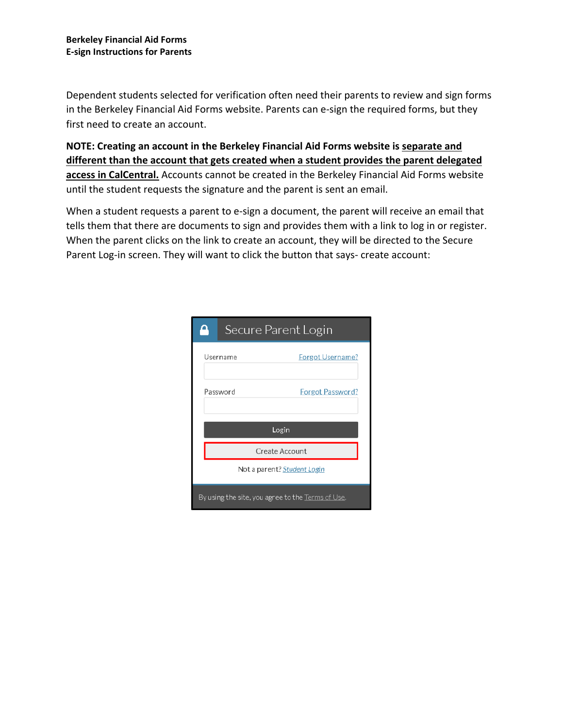Dependent students selected for verification often need their parents to review and sign forms in the Berkeley Financial Aid Forms website. Parents can e-sign the required forms, but they first need to create an account.

**NOTE: Creating an account in the Berkeley Financial Aid Forms website is separate and different than the account that gets created when a student provides the parent delegated access in CalCentral.** Accounts cannot be created in the Berkeley Financial Aid Forms website until the student requests the signature and the parent is sent an email.

When a student requests a parent to e-sign a document, the parent will receive an email that tells them that there are documents to sign and provides them with a link to log in or register. When the parent clicks on the link to create an account, they will be directed to the Secure Parent Log-in screen. They will want to click the button that says- create account:

| Secure Parent Login                               |                |                  |  |  |  |
|---------------------------------------------------|----------------|------------------|--|--|--|
| Username                                          |                | Forgot Username? |  |  |  |
| Password                                          |                | Forgot Password? |  |  |  |
|                                                   | Login          |                  |  |  |  |
|                                                   | Create Account |                  |  |  |  |
| Not a parent? Student Login                       |                |                  |  |  |  |
| By using the site, you agree to the Terms of Use. |                |                  |  |  |  |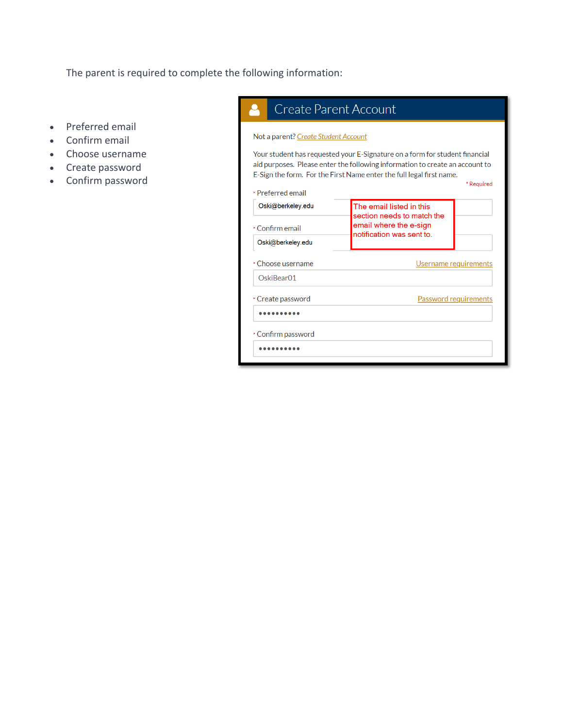The parent is required to complete the following information:

- Preferred email
- Confirm email
- Choose username
- Create password
- Confirm password

# Create Parent Account Å Not a parent? Create Student Account Your student has requested your E-Signature on a form for student financial aid purposes. Please enter the following information to create an account to E-Sign the form. For the First Name enter the full legal first name.

| Oski@berkeley.edu  | The email listed in this<br>section needs to match the |  |
|--------------------|--------------------------------------------------------|--|
| * Confirm email    | email where the e-sign<br>notification was sent to.    |  |
| Oski@berkeley.edu  |                                                        |  |
| * Choose username  | Username requirements                                  |  |
| OskiBear01         |                                                        |  |
| * Create password  | Password requirements                                  |  |
|                    |                                                        |  |
| * Confirm password |                                                        |  |
|                    |                                                        |  |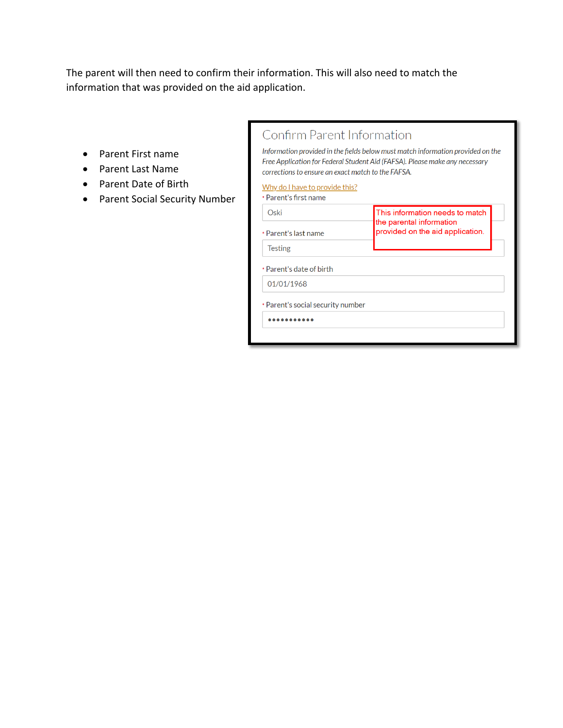The parent will then need to confirm their information. This will also need to match the information that was provided on the aid application.

- Parent First name
- Parent Last Name
- Parent Date of Birth
- Parent Social Security Number

| Confirm Parent Information |  |  |
|----------------------------|--|--|

Information provided in the fields below must match information provided on the Free Application for Federal Student Aid (FAFSA). Please make any necessary corrections to ensure an exact match to the FAFSA.

#### Why do I have to provide this?

| Oski                              | This information needs to match<br>the parental information<br>provided on the aid application. |  |
|-----------------------------------|-------------------------------------------------------------------------------------------------|--|
| * Parent's last name              |                                                                                                 |  |
| <b>Testing</b>                    |                                                                                                 |  |
| * Parent's date of birth          |                                                                                                 |  |
| 01/01/1968                        |                                                                                                 |  |
| * Parent's social security number |                                                                                                 |  |
|                                   |                                                                                                 |  |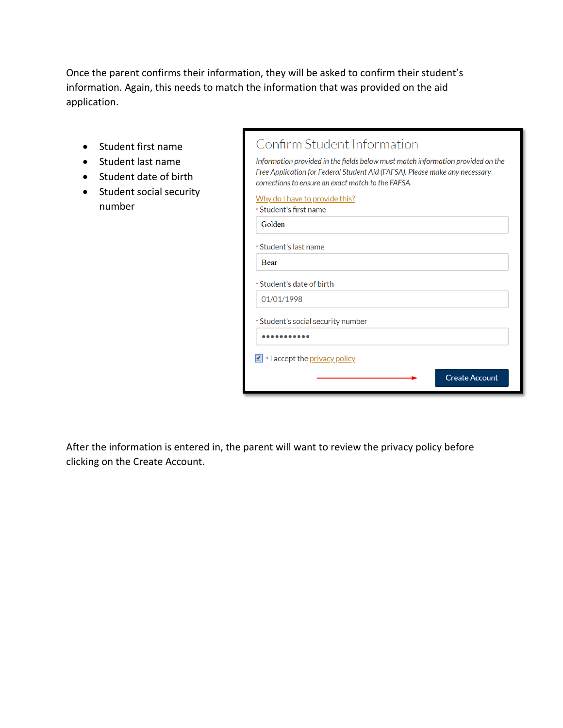Once the parent confirms their information, they will be asked to confirm their student's information. Again, this needs to match the information that was provided on the aid application.

- Student first name
- Student last name
- Student date of birth
- Student social security number

| Confirm Student Information                                                                                                                                                                                          |  |  |  |  |
|----------------------------------------------------------------------------------------------------------------------------------------------------------------------------------------------------------------------|--|--|--|--|
| Information provided in the fields below must match information provided on the<br>Free Application for Federal Student Aid (FAFSA). Please make any necessary<br>corrections to ensure an exact match to the FAFSA. |  |  |  |  |
| Why do I have to provide this?                                                                                                                                                                                       |  |  |  |  |
| * Student's first name                                                                                                                                                                                               |  |  |  |  |
| Golden                                                                                                                                                                                                               |  |  |  |  |
| * Student's last name                                                                                                                                                                                                |  |  |  |  |
| <b>Bear</b>                                                                                                                                                                                                          |  |  |  |  |
| * Student's date of birth                                                                                                                                                                                            |  |  |  |  |
| 01/01/1998                                                                                                                                                                                                           |  |  |  |  |
| * Student's social security number                                                                                                                                                                                   |  |  |  |  |
|                                                                                                                                                                                                                      |  |  |  |  |
| $\Box$ * I accept the <u>privacy policy</u>                                                                                                                                                                          |  |  |  |  |
| <b>Create Account</b>                                                                                                                                                                                                |  |  |  |  |

After the information is entered in, the parent will want to review the privacy policy before clicking on the Create Account.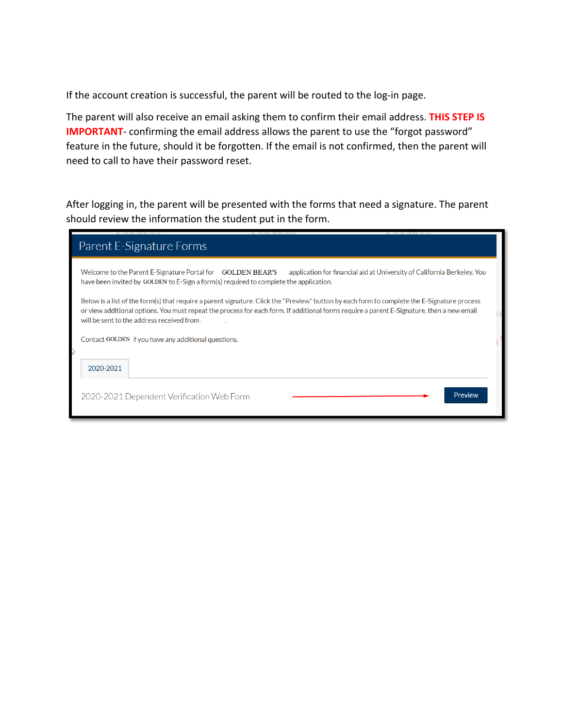If the account creation is successful, the parent will be routed to the log-in page.

The parent will also receive an email asking them to confirm their email address. **THIS STEP IS IMPORTANT**- confirming the email address allows the parent to use the "forgot password" feature in the future, should it be forgotten. If the email is not confirmed, then the parent will need to call to have their password reset.

After logging in, the parent will be presented with the forms that need a signature. The parent should review the information the student put in the form.

| Parent E-Signature Forms                                                                                                                                                                                                                                                                                                              |  |  |  |  |
|---------------------------------------------------------------------------------------------------------------------------------------------------------------------------------------------------------------------------------------------------------------------------------------------------------------------------------------|--|--|--|--|
| Welcome to the Parent E-Signature Portal for GOLDEN BEAR'S<br>application for financial aid at University of California Berkeley. You<br>have been invited by GOLDEN to E-Sign a form(s) required to complete the application.                                                                                                        |  |  |  |  |
| Below is a list of the form(s) that require a parent signature. Click the "Preview" button by each form to complete the E-Signature process<br>or view additional options. You must repeat the process for each form. If additional forms require a parent E-Signature, then a new email<br>will be sent to the address received from |  |  |  |  |
| Contact GOLDEN if you have any additional questions.                                                                                                                                                                                                                                                                                  |  |  |  |  |
| 2020-2021                                                                                                                                                                                                                                                                                                                             |  |  |  |  |
| Preview<br>2020-2021 Dependent Verification Web Form                                                                                                                                                                                                                                                                                  |  |  |  |  |